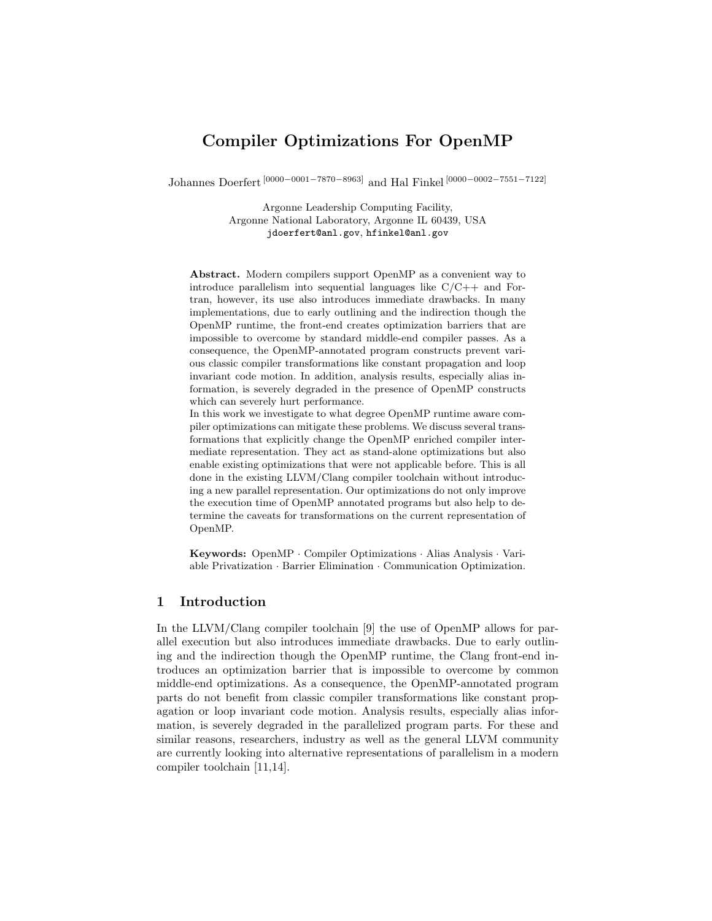# Compiler Optimizations For OpenMP

Johannes Doerfert[0000−0001−7870−8963] and Hal Finkel [0000−0002−7551−7122]

Argonne Leadership Computing Facility, Argonne National Laboratory, Argonne IL 60439, USA jdoerfert@anl.gov, hfinkel@anl.gov

Abstract. Modern compilers support OpenMP as a convenient way to introduce parallelism into sequential languages like  $C/C++$  and Fortran, however, its use also introduces immediate drawbacks. In many implementations, due to early outlining and the indirection though the OpenMP runtime, the front-end creates optimization barriers that are impossible to overcome by standard middle-end compiler passes. As a consequence, the OpenMP-annotated program constructs prevent various classic compiler transformations like constant propagation and loop invariant code motion. In addition, analysis results, especially alias information, is severely degraded in the presence of OpenMP constructs which can severely hurt performance.

In this work we investigate to what degree OpenMP runtime aware compiler optimizations can mitigate these problems. We discuss several transformations that explicitly change the OpenMP enriched compiler intermediate representation. They act as stand-alone optimizations but also enable existing optimizations that were not applicable before. This is all done in the existing LLVM/Clang compiler toolchain without introducing a new parallel representation. Our optimizations do not only improve the execution time of OpenMP annotated programs but also help to determine the caveats for transformations on the current representation of OpenMP.

Keywords: OpenMP · Compiler Optimizations · Alias Analysis · Variable Privatization · Barrier Elimination · Communication Optimization.

# 1 Introduction

In the LLVM/Clang compiler toolchain [\[9\]](#page-14-0) the use of OpenMP allows for parallel execution but also introduces immediate drawbacks. Due to early outlining and the indirection though the OpenMP runtime, the Clang front-end introduces an optimization barrier that is impossible to overcome by common middle-end optimizations. As a consequence, the OpenMP-annotated program parts do not benefit from classic compiler transformations like constant propagation or loop invariant code motion. Analysis results, especially alias information, is severely degraded in the parallelized program parts. For these and similar reasons, researchers, industry as well as the general LLVM community are currently looking into alternative representations of parallelism in a modern compiler toolchain [\[11,](#page-14-1)[14\]](#page-14-2).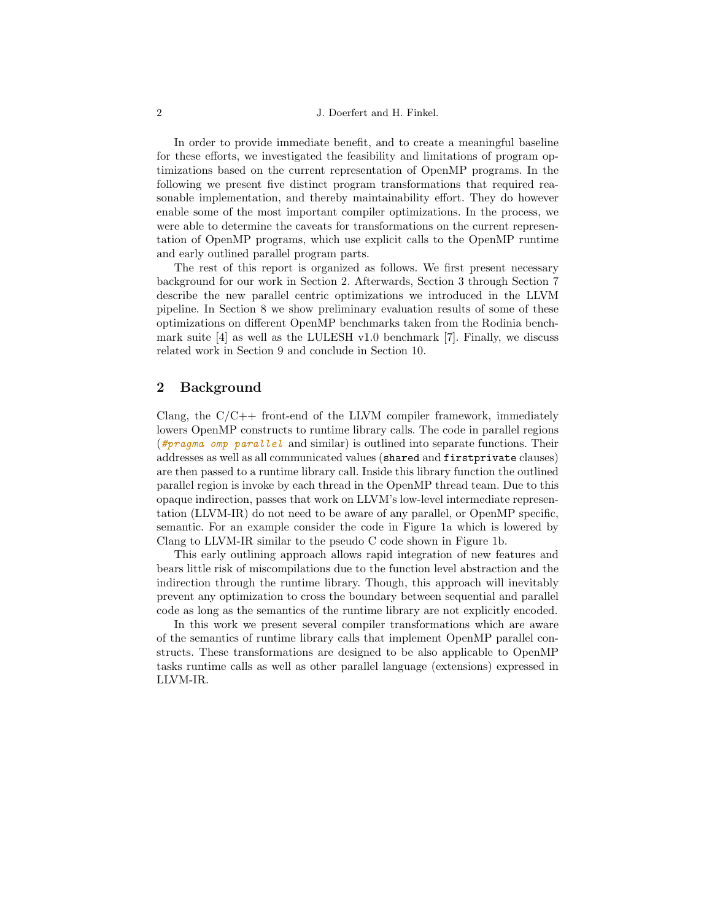#### 2 J. Doerfert and H. Finkel.

In order to provide immediate benefit, and to create a meaningful baseline for these efforts, we investigated the feasibility and limitations of program optimizations based on the current representation of OpenMP programs. In the following we present five distinct program transformations that required reasonable implementation, and thereby maintainability effort. They do however enable some of the most important compiler optimizations. In the process, we were able to determine the caveats for transformations on the current representation of OpenMP programs, which use explicit calls to the OpenMP runtime and early outlined parallel program parts.

The rest of this report is organized as follows. We first present necessary background for our work in [Section 2.](#page-1-0) Afterwards, [Section 3](#page-2-0) through [Section 7](#page-7-0) describe the new parallel centric optimizations we introduced in the LLVM pipeline. In [Section 8](#page-10-0) we show preliminary evaluation results of some of these optimizations on different OpenMP benchmarks taken from the Rodinia benchmark suite [\[4\]](#page-13-0) as well as the LULESH v1.0 benchmark [\[7\]](#page-14-3). Finally, we discuss related work in [Section 9](#page-11-0) and conclude in [Section 10.](#page-13-1)

#### <span id="page-1-0"></span>2 Background

Clang, the  $C/C++$  front-end of the LLVM compiler framework, immediately lowers OpenMP constructs to runtime library calls. The code in parallel regions  $(\text{#pragma} \space comp \space parallel$  and similar) is outlined into separate functions. Their addresses as well as all communicated values (shared and firstprivate clauses) are then passed to a runtime library call. Inside this library function the outlined parallel region is invoke by each thread in the OpenMP thread team. Due to this opaque indirection, passes that work on LLVM's low-level intermediate representation (LLVM-IR) do not need to be aware of any parallel, or OpenMP specific, semantic. For an example consider the code in [Figure 1a](#page-3-0) which is lowered by Clang to LLVM-IR similar to the pseudo C code shown in [Figure 1b.](#page-3-0)

This early outlining approach allows rapid integration of new features and bears little risk of miscompilations due to the function level abstraction and the indirection through the runtime library. Though, this approach will inevitably prevent any optimization to cross the boundary between sequential and parallel code as long as the semantics of the runtime library are not explicitly encoded.

In this work we present several compiler transformations which are aware of the semantics of runtime library calls that implement OpenMP parallel constructs. These transformations are designed to be also applicable to OpenMP tasks runtime calls as well as other parallel language (extensions) expressed in LLVM-IR.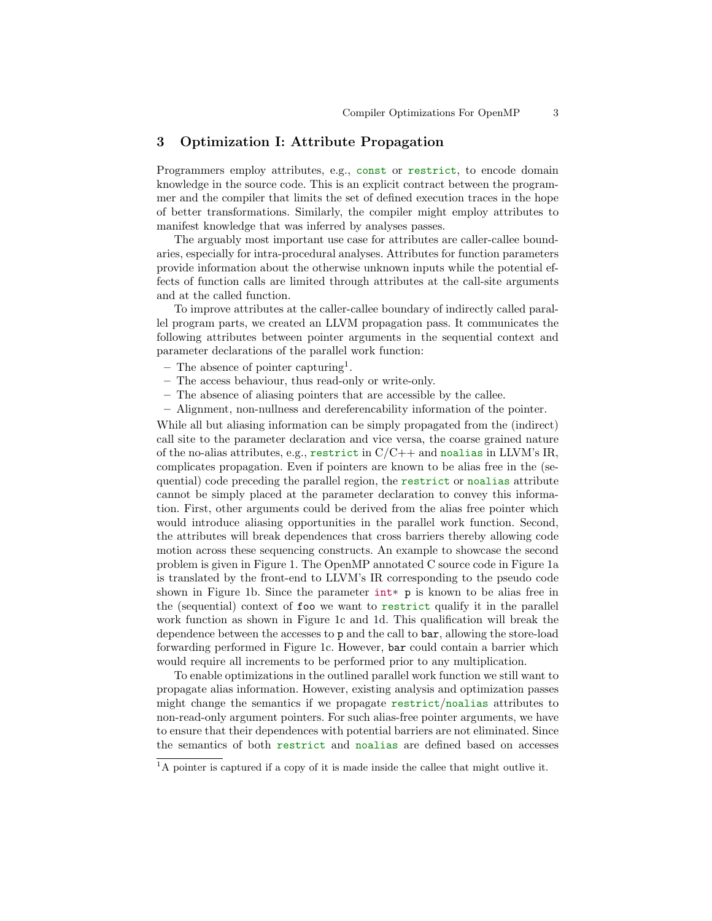#### <span id="page-2-0"></span>3 Optimization I: Attribute Propagation

Programmers employ attributes, e.g., const or restrict, to encode domain knowledge in the source code. This is an explicit contract between the programmer and the compiler that limits the set of defined execution traces in the hope of better transformations. Similarly, the compiler might employ attributes to manifest knowledge that was inferred by analyses passes.

The arguably most important use case for attributes are caller-callee boundaries, especially for intra-procedural analyses. Attributes for function parameters provide information about the otherwise unknown inputs while the potential effects of function calls are limited through attributes at the call-site arguments and at the called function.

To improve attributes at the caller-callee boundary of indirectly called parallel program parts, we created an LLVM propagation pass. It communicates the following attributes between pointer arguments in the sequential context and parameter declarations of the parallel work function:

 $-$  The absence of pointer capturing<sup>[1](#page-2-1)</sup>.

- The access behaviour, thus read-only or write-only.
- The absence of aliasing pointers that are accessible by the callee.
- Alignment, non-nullness and dereferencability information of the pointer.

While all but aliasing information can be simply propagated from the (indirect) call site to the parameter declaration and vice versa, the coarse grained nature of the no-alias attributes, e.g., restrict in  $C/C++$  and noalias in LLVM's IR, complicates propagation. Even if pointers are known to be alias free in the (sequential) code preceding the parallel region, the restrict or noalias attribute cannot be simply placed at the parameter declaration to convey this information. First, other arguments could be derived from the alias free pointer which would introduce aliasing opportunities in the parallel work function. Second, the attributes will break dependences that cross barriers thereby allowing code motion across these sequencing constructs. An example to showcase the second problem is given in [Figure 1.](#page-3-0) The OpenMP annotated C source code in [Figure 1a](#page-3-0) is translated by the front-end to LLVM's IR corresponding to the pseudo code shown in [Figure 1b.](#page-3-0) Since the parameter  $int*$  p is known to be alias free in the (sequential) context of foo we want to restrict qualify it in the parallel work function as shown in Figure [1c](#page-3-0) and [1d.](#page-3-0) This qualification will break the dependence between the accesses to p and the call to bar, allowing the store-load forwarding performed in Figure [1c.](#page-3-0) However, bar could contain a barrier which would require all increments to be performed prior to any multiplication.

To enable optimizations in the outlined parallel work function we still want to propagate alias information. However, existing analysis and optimization passes might change the semantics if we propagate restrict/noalias attributes to non-read-only argument pointers. For such alias-free pointer arguments, we have to ensure that their dependences with potential barriers are not eliminated. Since the semantics of both restrict and noalias are defined based on accesses

<span id="page-2-1"></span><sup>&</sup>lt;sup>1</sup>A pointer is captured if a copy of it is made inside the callee that might outlive it.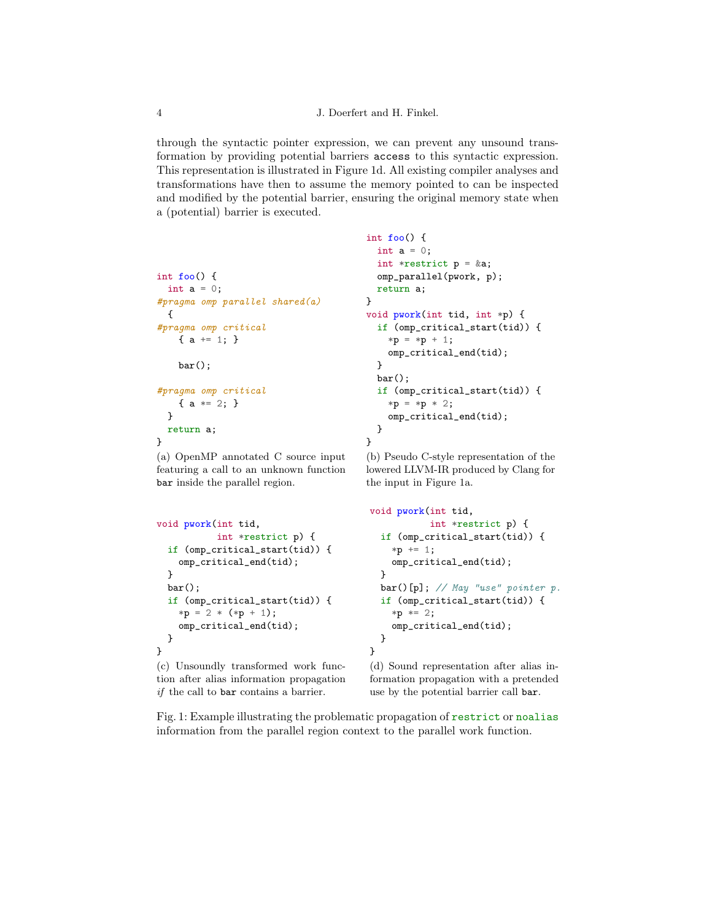through the syntactic pointer expression, we can prevent any unsound transformation by providing potential barriers access to this syntactic expression. This representation is illustrated in Figure [1d.](#page-3-0) All existing compiler analyses and transformations have then to assume the memory pointed to can be inspected and modified by the potential barrier, ensuring the original memory state when a (potential) barrier is executed.

```
int foo() {
  int a = 0;
#pragma omp parallel shared(a)
  {
#pragma omp critical
    { a == 1; }
    bar();
#pragma omp critical
    { a == 2; }
 }
 return a;
}
```
(a) OpenMP annotated C source input featuring a call to an unknown function bar inside the parallel region.

```
int foo() {
 int a = 0;
  int *restrict p = k a;
  omp_parallel(pwork, p);
 return a;
}
void pwork(int tid, int *p) {
  if (omp_critical_start(tid)) {
    *p =*p + 1;omp_critical_end(tid);
 }
 bar();
  if (omp_critical_start(tid)) {
    *p =*p * 2;omp_critical_end(tid);
 }
}
```
(b) Pseudo C-style representation of the lowered LLVM-IR produced by Clang for the input in [Figure 1a.](#page-3-0)

```
void pwork(int tid,
           int *restrict p) {
  if (omp_critical_start(tid)) {
    omp_critical_end(tid);
 }
 bar();
 if (omp_critical_start(tid)) {
    *p = 2 * (*p + 1);omp_critical_end(tid);
 }
}
                                        void pwork(int tid,
                                                   int *restrict p) {
                                          if (omp_critical_start(tid)) {
                                            *p += 1;
                                            omp_critical_end(tid);
                                          }
                                          bar()[p]; // May "use" pointer p.
                                          if (omp_critical_start(tid)) {
                                            *p *= 2;
                                            omp_critical_end(tid);
                                          }
                                        }
```
(c) Unsoundly transformed work function after alias information propagation if the call to bar contains a barrier.

(d) Sound representation after alias information propagation with a pretended use by the potential barrier call bar.

Fig. 1: Example illustrating the problematic propagation of restrict or noalias information from the parallel region context to the parallel work function.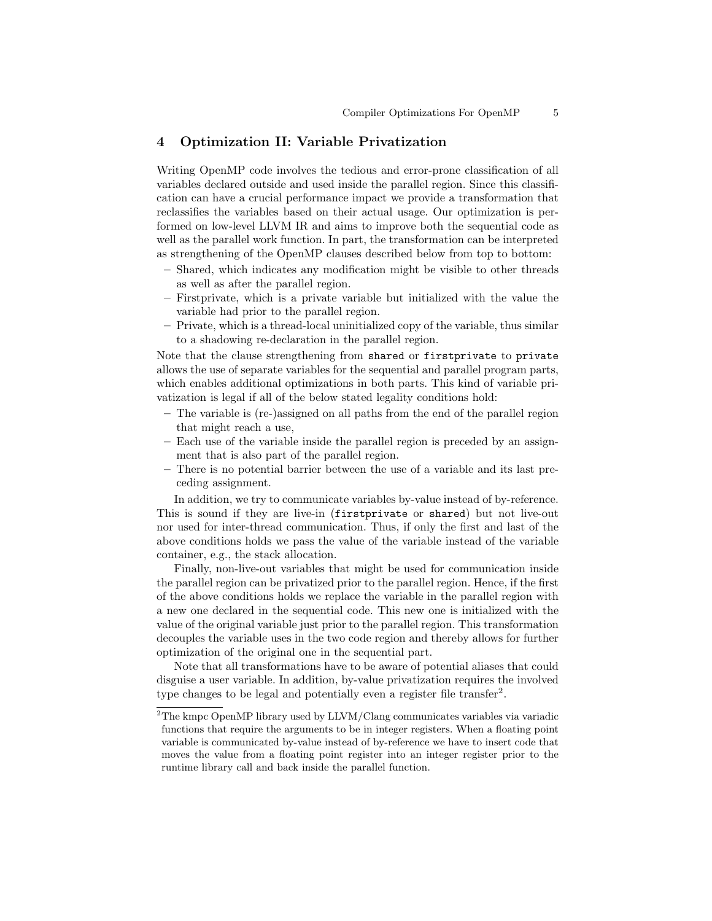#### <span id="page-4-1"></span>4 Optimization II: Variable Privatization

Writing OpenMP code involves the tedious and error-prone classification of all variables declared outside and used inside the parallel region. Since this classification can have a crucial performance impact we provide a transformation that reclassifies the variables based on their actual usage. Our optimization is performed on low-level LLVM IR and aims to improve both the sequential code as well as the parallel work function. In part, the transformation can be interpreted as strengthening of the OpenMP clauses described below from top to bottom:

- Shared, which indicates any modification might be visible to other threads as well as after the parallel region.
- Firstprivate, which is a private variable but initialized with the value the variable had prior to the parallel region.
- Private, which is a thread-local uninitialized copy of the variable, thus similar to a shadowing re-declaration in the parallel region.

Note that the clause strengthening from shared or firstprivate to private allows the use of separate variables for the sequential and parallel program parts, which enables additional optimizations in both parts. This kind of variable privatization is legal if all of the below stated legality conditions hold:

- The variable is (re-)assigned on all paths from the end of the parallel region that might reach a use,
- Each use of the variable inside the parallel region is preceded by an assignment that is also part of the parallel region.
- There is no potential barrier between the use of a variable and its last preceding assignment.

In addition, we try to communicate variables by-value instead of by-reference. This is sound if they are live-in (firstprivate or shared) but not live-out nor used for inter-thread communication. Thus, if only the first and last of the above conditions holds we pass the value of the variable instead of the variable container, e.g., the stack allocation.

Finally, non-live-out variables that might be used for communication inside the parallel region can be privatized prior to the parallel region. Hence, if the first of the above conditions holds we replace the variable in the parallel region with a new one declared in the sequential code. This new one is initialized with the value of the original variable just prior to the parallel region. This transformation decouples the variable uses in the two code region and thereby allows for further optimization of the original one in the sequential part.

Note that all transformations have to be aware of potential aliases that could disguise a user variable. In addition, by-value privatization requires the involved type changes to be legal and potentially even a register file transfer<sup>[2](#page-4-0)</sup>.

<span id="page-4-0"></span><sup>2</sup>The kmpc OpenMP library used by LLVM/Clang communicates variables via variadic functions that require the arguments to be in integer registers. When a floating point variable is communicated by-value instead of by-reference we have to insert code that moves the value from a floating point register into an integer register prior to the runtime library call and back inside the parallel function.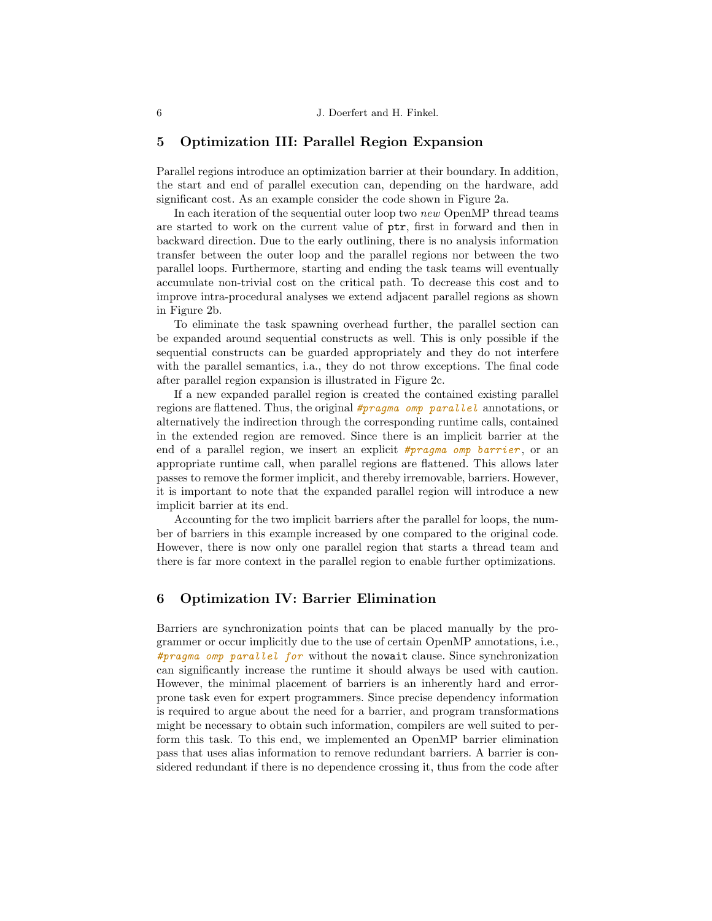#### <span id="page-5-0"></span>5 Optimization III: Parallel Region Expansion

Parallel regions introduce an optimization barrier at their boundary. In addition, the start and end of parallel execution can, depending on the hardware, add significant cost. As an example consider the code shown in [Figure 2a.](#page-6-0)

In each iteration of the sequential outer loop two new OpenMP thread teams are started to work on the current value of ptr, first in forward and then in backward direction. Due to the early outlining, there is no analysis information transfer between the outer loop and the parallel regions nor between the two parallel loops. Furthermore, starting and ending the task teams will eventually accumulate non-trivial cost on the critical path. To decrease this cost and to improve intra-procedural analyses we extend adjacent parallel regions as shown in [Figure 2b.](#page-6-0)

To eliminate the task spawning overhead further, the parallel section can be expanded around sequential constructs as well. This is only possible if the sequential constructs can be guarded appropriately and they do not interfere with the parallel semantics, i.a., they do not throw exceptions. The final code after parallel region expansion is illustrated in [Figure 2c.](#page-6-0)

If a new expanded parallel region is created the contained existing parallel regions are flattened. Thus, the original  $\# \text{pragma}$  omp parallel annotations, or alternatively the indirection through the corresponding runtime calls, contained in the extended region are removed. Since there is an implicit barrier at the end of a parallel region, we insert an explicit  $\#$ pragma omp barrier, or an appropriate runtime call, when parallel regions are flattened. This allows later passes to remove the former implicit, and thereby irremovable, barriers. However, it is important to note that the expanded parallel region will introduce a new implicit barrier at its end.

Accounting for the two implicit barriers after the parallel for loops, the number of barriers in this example increased by one compared to the original code. However, there is now only one parallel region that starts a thread team and there is far more context in the parallel region to enable further optimizations.

#### <span id="page-5-1"></span>6 Optimization IV: Barrier Elimination

Barriers are synchronization points that can be placed manually by the programmer or occur implicitly due to the use of certain OpenMP annotations, i.e., #pragma omp parallel for without the nowait clause. Since synchronization can significantly increase the runtime it should always be used with caution. However, the minimal placement of barriers is an inherently hard and errorprone task even for expert programmers. Since precise dependency information is required to argue about the need for a barrier, and program transformations might be necessary to obtain such information, compilers are well suited to perform this task. To this end, we implemented an OpenMP barrier elimination pass that uses alias information to remove redundant barriers. A barrier is considered redundant if there is no dependence crossing it, thus from the code after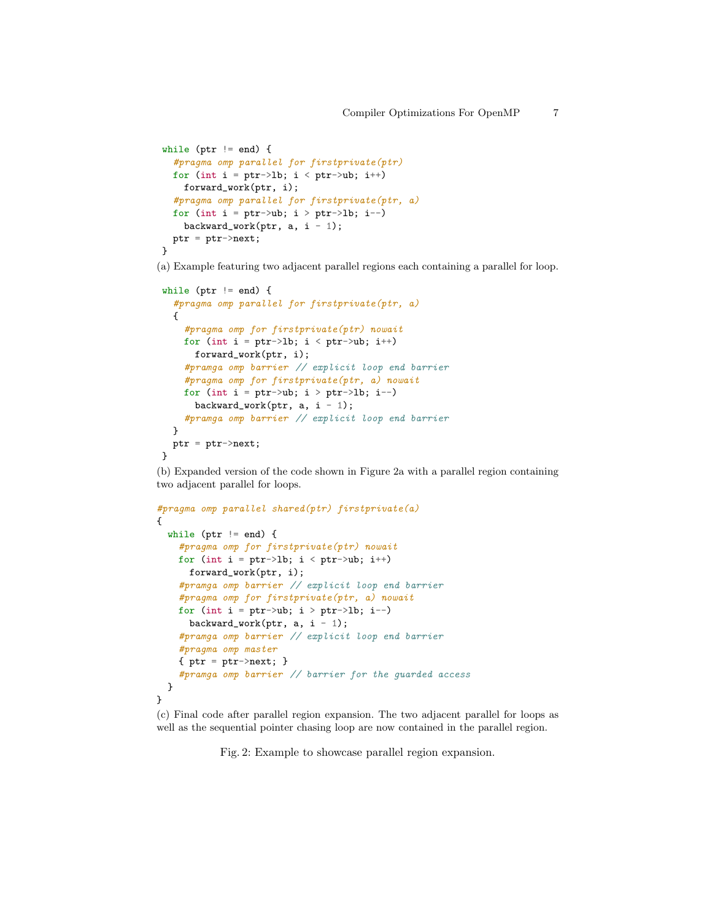```
while (ptr != end) {
  #pragma omp parallel for firstprivate(ptr)
 for (int i = ptr->lb; i < ptr->ub; i++)
   forward_work(ptr, i);
  #pragma omp parallel for firstprivate(ptr, a)
 for (int i = ptr->ub; i > ptr->lb; i--)
   backward_work(ptr, a, i - 1);
 ptr = ptr->next;
}
```
(a) Example featuring two adjacent parallel regions each containing a parallel for loop.

```
while (ptr != end) {
  #pragma omp parallel for firstprivate(ptr, a)
  {
    #pragma omp for firstprivate(ptr) nowait
    for (int i = ptr->lb; i < ptr->ub; i++)
     forward_work(ptr, i);
    #pramga omp barrier // explicit loop end barrier
    #pragma omp for firstprivate(ptr, a) nowait
    for (int i = ptr->ub; i > ptr->lb; i--)
      backward_work(ptr, a, i - 1);
    #pramga omp barrier // explicit loop end barrier
  }
  ptr = ptr->next;
}
```
(b) Expanded version of the code shown in [Figure 2a](#page-6-0) with a parallel region containing two adjacent parallel for loops.

```
#pragma omp parallel shared(ptr) firstprivate(a)
{
 while (ptr != end) {
    #pragma omp for firstprivate(ptr) nowait
   for (int i = ptr->lb; i < ptr->ub; i++)
     forward_work(ptr, i);
    #pramga omp barrier // explicit loop end barrier
    #pragma omp for firstprivate(ptr, a) nowait
   for (int i = ptr->ub; i > ptr->lb; i--)
     backward_work(ptr, a, i - 1);
    #pramga omp barrier // explicit loop end barrier
    #pragma omp master
    { ptr =ptr > next; }
    #pramga omp barrier // barrier for the guarded access
 }
}
```
(c) Final code after parallel region expansion. The two adjacent parallel for loops as well as the sequential pointer chasing loop are now contained in the parallel region.

Fig. 2: Example to showcase parallel region expansion.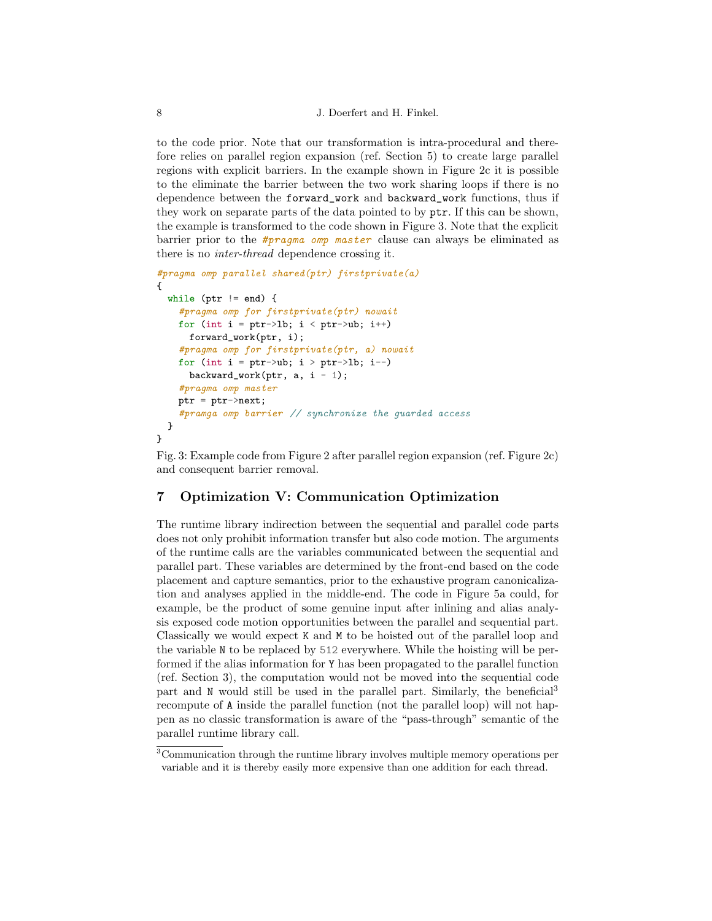to the code prior. Note that our transformation is intra-procedural and therefore relies on parallel region expansion (ref. [Section 5\)](#page-5-0) to create large parallel regions with explicit barriers. In the example shown in [Figure 2c](#page-6-0) it is possible to the eliminate the barrier between the two work sharing loops if there is no dependence between the forward\_work and backward\_work functions, thus if they work on separate parts of the data pointed to by ptr. If this can be shown, the example is transformed to the code shown in [Figure 3.](#page-7-1) Note that the explicit barrier prior to the  $\# \text{pragma}$  omp master clause can always be eliminated as there is no inter-thread dependence crossing it.

```
#pragma omp parallel shared(ptr) firstprivate(a)
{
 while (ptr != end) {
    #pragma omp for firstprivate(ptr) nowait
    for (int i = ptr->lb; i < ptr->ub; i++)
      forward_work(ptr, i);
    #pragma omp for firstprivate(ptr, a) nowait
    for (int i = ptr->ub; i > ptr->lb; i--)
      backward_work(ptr, a, i - 1);
    #pragma omp master
    ptr = ptr->next;
    #pramga omp barrier // synchronize the guarded access
 }
}
```
Fig. 3: Example code from [Figure 2](#page-6-0) after parallel region expansion (ref. [Figure 2c\)](#page-6-0) and consequent barrier removal.

# <span id="page-7-0"></span>7 Optimization V: Communication Optimization

The runtime library indirection between the sequential and parallel code parts does not only prohibit information transfer but also code motion. The arguments of the runtime calls are the variables communicated between the sequential and parallel part. These variables are determined by the front-end based on the code placement and capture semantics, prior to the exhaustive program canonicalization and analyses applied in the middle-end. The code in [Figure 5a](#page-9-0) could, for example, be the product of some genuine input after inlining and alias analysis exposed code motion opportunities between the parallel and sequential part. Classically we would expect K and M to be hoisted out of the parallel loop and the variable N to be replaced by 512 everywhere. While the hoisting will be performed if the alias information for Y has been propagated to the parallel function (ref. [Section 3\)](#page-2-0), the computation would not be moved into the sequential code part and N would still be used in the parallel part. Similarly, the beneficial[3](#page-7-2) recompute of A inside the parallel function (not the parallel loop) will not happen as no classic transformation is aware of the "pass-through" semantic of the parallel runtime library call.

<span id="page-7-2"></span><sup>3</sup>Communication through the runtime library involves multiple memory operations per variable and it is thereby easily more expensive than one addition for each thread.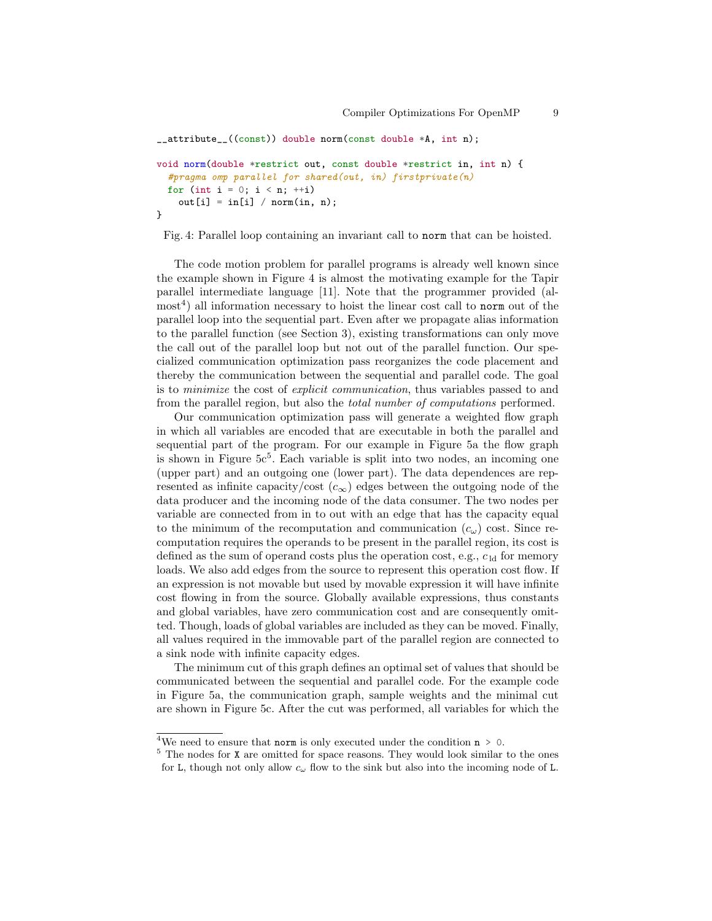```
__attribute__((const)) double norm(const double *A, int n);
void norm(double *restrict out, const double *restrict in, int n) {
  #pragma omp parallel for shared(out, in) firstprivate(n)
 for (int i = 0; i < n; ++i)
    out[i] = in[i] / norm(in, n);}
```
Fig. 4: Parallel loop containing an invariant call to norm that can be hoisted.

The code motion problem for parallel programs is already well known since the example shown in [Figure 4](#page-8-0) is almost the motivating example for the Tapir parallel intermediate language [\[11\]](#page-14-1). Note that the programmer provided (al-most<sup>[4](#page-8-1)</sup>) all information necessary to hoist the linear cost call to norm out of the parallel loop into the sequential part. Even after we propagate alias information to the parallel function (see [Section 3\)](#page-2-0), existing transformations can only move the call out of the parallel loop but not out of the parallel function. Our specialized communication optimization pass reorganizes the code placement and thereby the communication between the sequential and parallel code. The goal is to minimize the cost of explicit communication, thus variables passed to and from the parallel region, but also the total number of computations performed.

Our communication optimization pass will generate a weighted flow graph in which all variables are encoded that are executable in both the parallel and sequential part of the program. For our example in [Figure 5a](#page-9-0) the flow graph is shown in Figure  $5c^5$  $5c^5$ . Each variable is split into two nodes, an incoming one (upper part) and an outgoing one (lower part). The data dependences are represented as infinite capacity/cost  $(c_{\infty})$  edges between the outgoing node of the data producer and the incoming node of the data consumer. The two nodes per variable are connected from in to out with an edge that has the capacity equal to the minimum of the recomputation and communication  $(c_{\omega})$  cost. Since recomputation requires the operands to be present in the parallel region, its cost is defined as the sum of operand costs plus the operation cost, e.g.,  $c_{\rm Id}$  for memory loads. We also add edges from the source to represent this operation cost flow. If an expression is not movable but used by movable expression it will have infinite cost flowing in from the source. Globally available expressions, thus constants and global variables, have zero communication cost and are consequently omitted. Though, loads of global variables are included as they can be moved. Finally, all values required in the immovable part of the parallel region are connected to a sink node with infinite capacity edges.

The minimum cut of this graph defines an optimal set of values that should be communicated between the sequential and parallel code. For the example code in [Figure 5a,](#page-9-0) the communication graph, sample weights and the minimal cut are shown in [Figure 5c.](#page-9-0) After the cut was performed, all variables for which the

<span id="page-8-1"></span><sup>&</sup>lt;sup>4</sup>We need to ensure that **norm** is only executed under the condition  $n > 0$ .

<span id="page-8-2"></span><sup>5</sup> The nodes for X are omitted for space reasons. They would look similar to the ones for L, though not only allow  $c_{\omega}$  flow to the sink but also into the incoming node of L.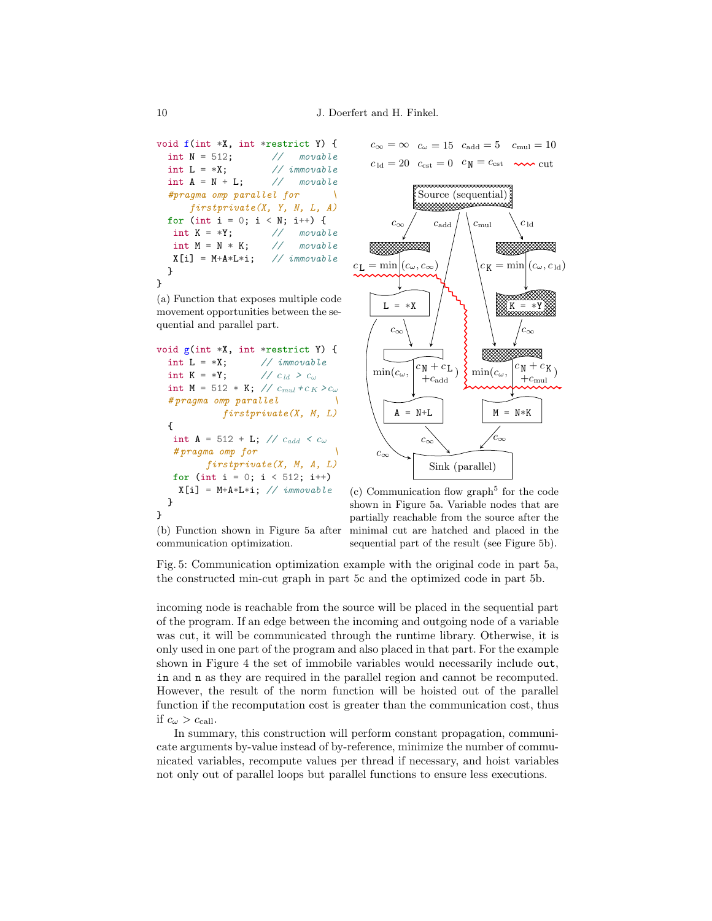```
void f(int *X, int *restrict Y) {
 int N = 512; \frac{7}{2} movable
 int L = *X; // immovable
 int A = N + L; // movable
 #pragma omp parallel for \
     first private(X, Y, N, L, A)for (int i = 0; i < N; i++) {
  int K = *Y; // movable
  int M = N * K; // movable
  X[i] = M+A*L*i: \t// \tim{movable}}
}
```
(a) Function that exposes multiple code movement opportunities between the sequential and parallel part.

```
void g(int *X, int *restrict Y) {
  int L = *X; // immovable
  int K = *Y; // c_{ld} > c_{\omega}int M = 512 * K; // c_{mul} + c_K > c_{\omega}# pragma omp parallel \
             firstprivate(X, M, L)
  {
   int A = 512 + L; // c_{add} < c_{\omega}# pragma omp for
          firstprivate(X, M, A, L)
   for (int i = 0; i < 512; i++)X[i] = M+A*L*i; // immovable
 }
}
```
(b) Function shown in [Figure 5a](#page-9-0) after

communication optimization.



 $(c)$  Communication flow graph<sup>[5](#page-8-2)</sup> for the code shown in [Figure 5a.](#page-9-0) Variable nodes that are partially reachable from the source after the minimal cut are hatched and placed in the sequential part of the result (see [Figure 5b\)](#page-9-0).

Fig. 5: Communication optimization example with the original code in part [5a,](#page-9-0) the constructed min-cut graph in part [5c](#page-9-0) and the optimized code in part [5b.](#page-9-0)

incoming node is reachable from the source will be placed in the sequential part of the program. If an edge between the incoming and outgoing node of a variable was cut, it will be communicated through the runtime library. Otherwise, it is only used in one part of the program and also placed in that part. For the example shown in [Figure 4](#page-8-0) the set of immobile variables would necessarily include out, in and n as they are required in the parallel region and cannot be recomputed. However, the result of the norm function will be hoisted out of the parallel function if the recomputation cost is greater than the communication cost, thus if  $c_{\omega} > c_{\text{call}}$ .

In summary, this construction will perform constant propagation, communicate arguments by-value instead of by-reference, minimize the number of communicated variables, recompute values per thread if necessary, and hoist variables not only out of parallel loops but parallel functions to ensure less executions.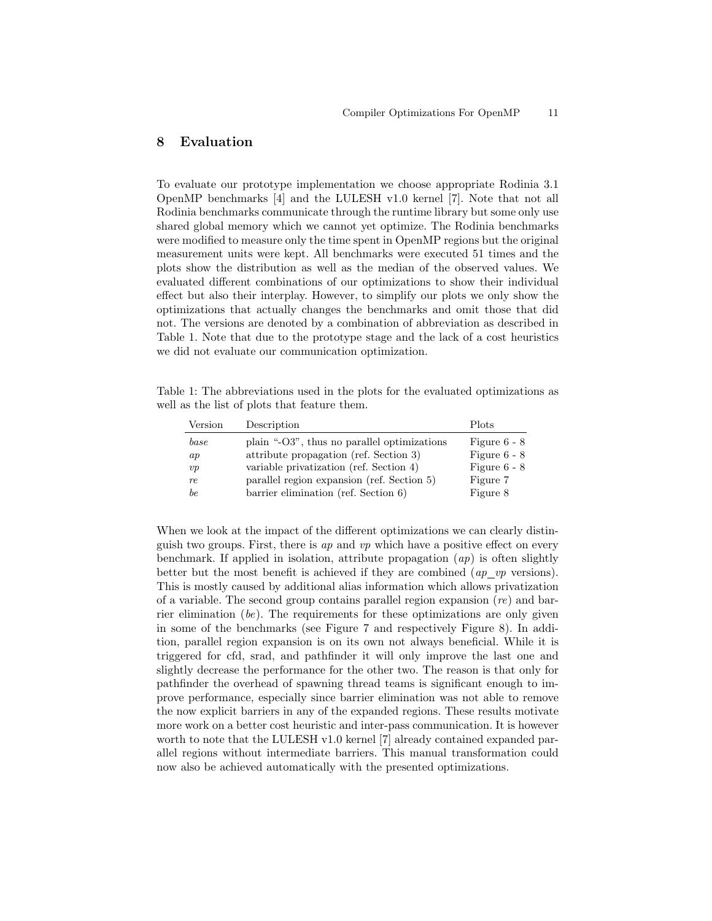# <span id="page-10-0"></span>8 Evaluation

To evaluate our prototype implementation we choose appropriate Rodinia 3.1 OpenMP benchmarks [\[4\]](#page-13-0) and the LULESH v1.0 kernel [\[7\]](#page-14-3). Note that not all Rodinia benchmarks communicate through the runtime library but some only use shared global memory which we cannot yet optimize. The Rodinia benchmarks were modified to measure only the time spent in OpenMP regions but the original measurement units were kept. All benchmarks were executed 51 times and the plots show the distribution as well as the median of the observed values. We evaluated different combinations of our optimizations to show their individual effect but also their interplay. However, to simplify our plots we only show the optimizations that actually changes the benchmarks and omit those that did not. The versions are denoted by a combination of abbreviation as described in [Table 1.](#page-10-1) Note that due to the prototype stage and the lack of a cost heuristics we did not evaluate our communication optimization.

<span id="page-10-1"></span>Table 1: The abbreviations used in the plots for the evaluated optimizations as well as the list of plots that feature them.

| Version | Description                                     | <b>Plots</b>   |
|---------|-------------------------------------------------|----------------|
| base    | plain "- $O3$ ", thus no parallel optimizations | Figure $6 - 8$ |
| ap      | attribute propagation (ref. Section 3)          | Figure $6 - 8$ |
| vp      | variable privatization (ref. Section 4)         | Figure $6 - 8$ |
| re      | parallel region expansion (ref. Section 5)      | Figure 7       |
| be      | barrier elimination (ref. Section 6)            | Figure 8       |

When we look at the impact of the different optimizations we can clearly distinguish two groups. First, there is  $ap$  and  $vp$  which have a positive effect on every benchmark. If applied in isolation, attribute propagation  $(ap)$  is often slightly better but the most benefit is achieved if they are combined (ap vp versions). This is mostly caused by additional alias information which allows privatization of a variable. The second group contains parallel region expansion  $(re)$  and barrier elimination  $(e)$ . The requirements for these optimizations are only given in some of the benchmarks (see [Figure 7](#page-12-1) and respectively [Figure 8\)](#page-12-0). In addition, parallel region expansion is on its own not always beneficial. While it is triggered for cfd, srad, and pathfinder it will only improve the last one and slightly decrease the performance for the other two. The reason is that only for pathfinder the overhead of spawning thread teams is significant enough to improve performance, especially since barrier elimination was not able to remove the now explicit barriers in any of the expanded regions. These results motivate more work on a better cost heuristic and inter-pass communication. It is however worth to note that the LULESH v1.0 kernel [\[7\]](#page-14-3) already contained expanded parallel regions without intermediate barriers. This manual transformation could now also be achieved automatically with the presented optimizations.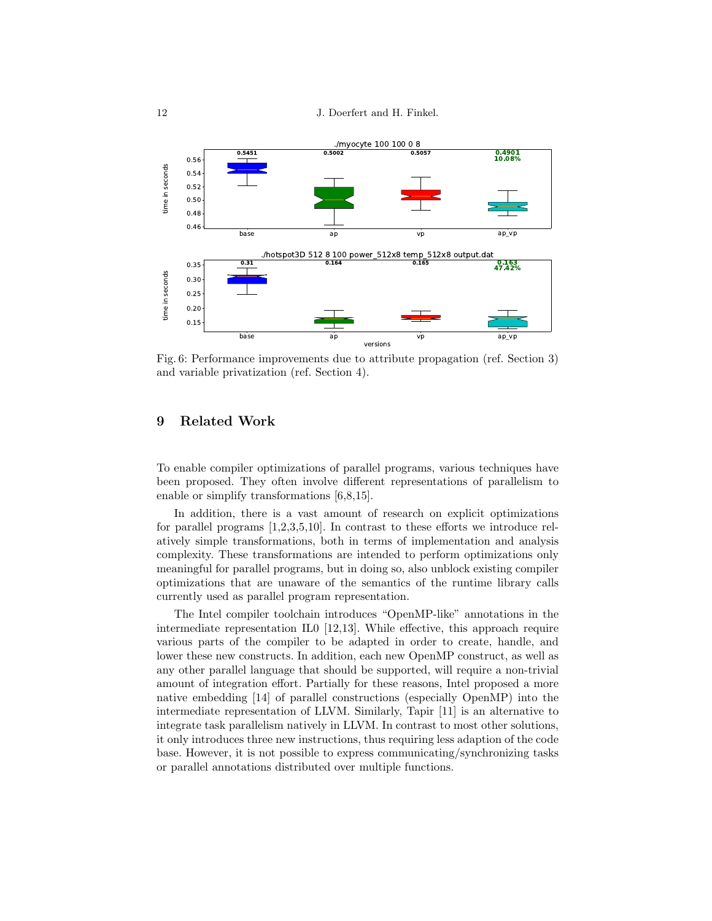12 J. Doerfert and H. Finkel.

<span id="page-11-1"></span>

Fig. 6: Performance improvements due to attribute propagation (ref. [Section 3\)](#page-2-0) and variable privatization (ref. [Section 4\)](#page-4-1).

# <span id="page-11-0"></span>9 Related Work

To enable compiler optimizations of parallel programs, various techniques have been proposed. They often involve different representations of parallelism to enable or simplify transformations [\[6,](#page-14-4)[8,](#page-14-5)[15\]](#page-14-6).

In addition, there is a vast amount of research on explicit optimizations for parallel programs [\[1,](#page-13-2)[2,](#page-13-3)[3](#page-13-4)[,5,](#page-14-7)[10\]](#page-14-8). In contrast to these efforts we introduce relatively simple transformations, both in terms of implementation and analysis complexity. These transformations are intended to perform optimizations only meaningful for parallel programs, but in doing so, also unblock existing compiler optimizations that are unaware of the semantics of the runtime library calls currently used as parallel program representation.

The Intel compiler toolchain introduces "OpenMP-like" annotations in the intermediate representation IL0 [\[12](#page-14-9)[,13\]](#page-14-10). While effective, this approach require various parts of the compiler to be adapted in order to create, handle, and lower these new constructs. In addition, each new OpenMP construct, as well as any other parallel language that should be supported, will require a non-trivial amount of integration effort. Partially for these reasons, Intel proposed a more native embedding [\[14\]](#page-14-2) of parallel constructions (especially OpenMP) into the intermediate representation of LLVM. Similarly, Tapir [\[11\]](#page-14-1) is an alternative to integrate task parallelism natively in LLVM. In contrast to most other solutions, it only introduces three new instructions, thus requiring less adaption of the code base. However, it is not possible to express communicating/synchronizing tasks or parallel annotations distributed over multiple functions.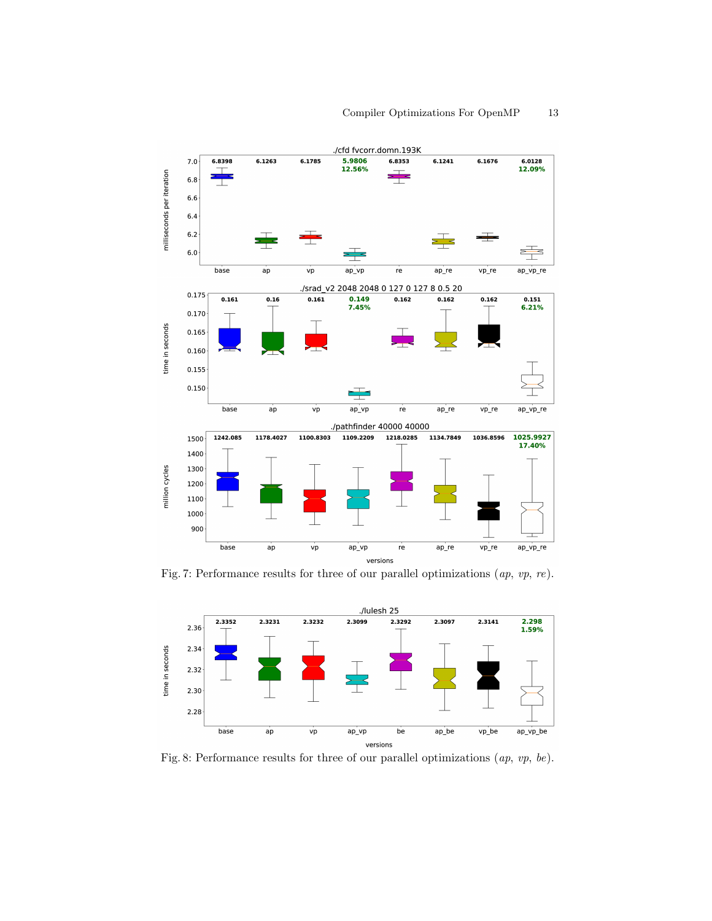<span id="page-12-1"></span>

Fig. 7: Performance results for three of our parallel optimizations  $(ap, vp, re)$ .

<span id="page-12-0"></span>

Fig. 8: Performance results for three of our parallel optimizations  $(ap, vp, be)$ .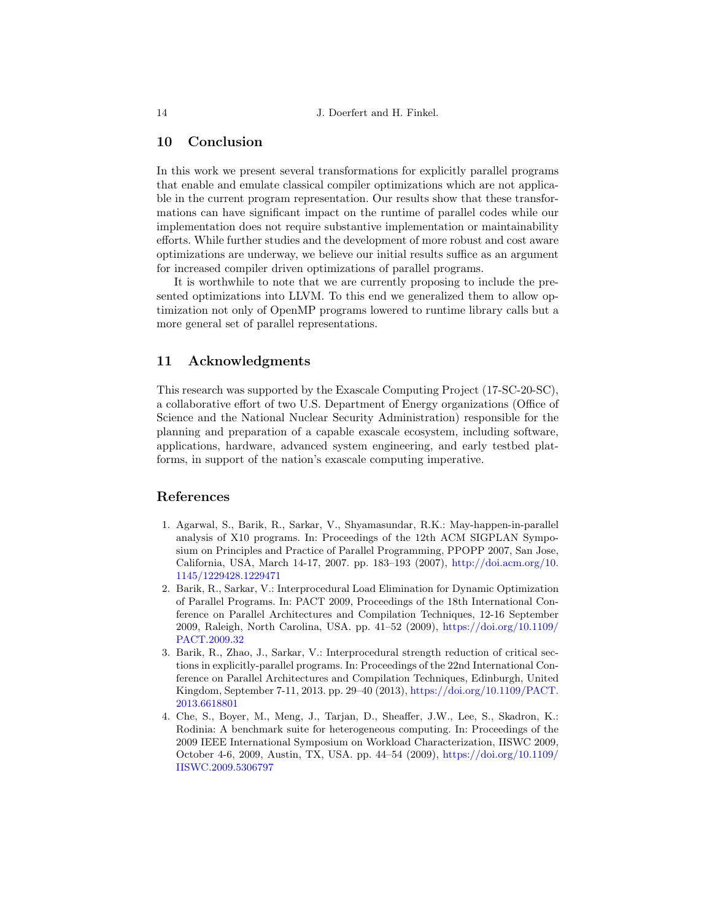# <span id="page-13-1"></span>10 Conclusion

In this work we present several transformations for explicitly parallel programs that enable and emulate classical compiler optimizations which are not applicable in the current program representation. Our results show that these transformations can have significant impact on the runtime of parallel codes while our implementation does not require substantive implementation or maintainability efforts. While further studies and the development of more robust and cost aware optimizations are underway, we believe our initial results suffice as an argument for increased compiler driven optimizations of parallel programs.

It is worthwhile to note that we are currently proposing to include the presented optimizations into LLVM. To this end we generalized them to allow optimization not only of OpenMP programs lowered to runtime library calls but a more general set of parallel representations.

### 11 Acknowledgments

This research was supported by the Exascale Computing Project (17-SC-20-SC), a collaborative effort of two U.S. Department of Energy organizations (Office of Science and the National Nuclear Security Administration) responsible for the planning and preparation of a capable exascale ecosystem, including software, applications, hardware, advanced system engineering, and early testbed platforms, in support of the nation's exascale computing imperative.

#### References

- <span id="page-13-2"></span>1. Agarwal, S., Barik, R., Sarkar, V., Shyamasundar, R.K.: May-happen-in-parallel analysis of X10 programs. In: Proceedings of the 12th ACM SIGPLAN Symposium on Principles and Practice of Parallel Programming, PPOPP 2007, San Jose, California, USA, March 14-17, 2007. pp. 183–193 (2007), [http://doi.acm.org/10.](http://doi.acm.org/10.1145/1229428.1229471) [1145/1229428.1229471](http://doi.acm.org/10.1145/1229428.1229471)
- <span id="page-13-3"></span>2. Barik, R., Sarkar, V.: Interprocedural Load Elimination for Dynamic Optimization of Parallel Programs. In: PACT 2009, Proceedings of the 18th International Conference on Parallel Architectures and Compilation Techniques, 12-16 September 2009, Raleigh, North Carolina, USA. pp. 41–52 (2009), [https://doi.org/10.1109/](https://doi.org/10.1109/PACT.2009.32) [PACT.2009.32](https://doi.org/10.1109/PACT.2009.32)
- <span id="page-13-4"></span>3. Barik, R., Zhao, J., Sarkar, V.: Interprocedural strength reduction of critical sections in explicitly-parallel programs. In: Proceedings of the 22nd International Conference on Parallel Architectures and Compilation Techniques, Edinburgh, United Kingdom, September 7-11, 2013. pp. 29–40 (2013), [https://doi.org/10.1109/PACT.](https://doi.org/10.1109/PACT.2013.6618801) [2013.6618801](https://doi.org/10.1109/PACT.2013.6618801)
- <span id="page-13-0"></span>4. Che, S., Boyer, M., Meng, J., Tarjan, D., Sheaffer, J.W., Lee, S., Skadron, K.: Rodinia: A benchmark suite for heterogeneous computing. In: Proceedings of the 2009 IEEE International Symposium on Workload Characterization, IISWC 2009, October 4-6, 2009, Austin, TX, USA. pp. 44–54 (2009), [https://doi.org/10.1109/](https://doi.org/10.1109/IISWC.2009.5306797) [IISWC.2009.5306797](https://doi.org/10.1109/IISWC.2009.5306797)